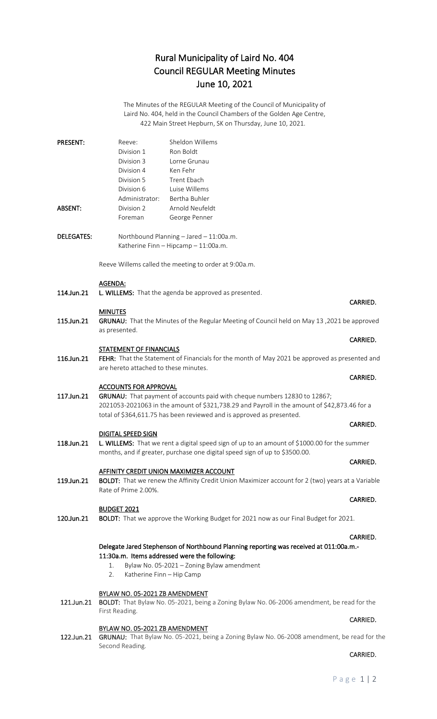# Rural Municipality of Laird No. 404 Council REGULAR Meeting Minutes June 10, 2021

The Minutes of the REGULAR Meeting of the Council of Municipality of Laird No. 404, held in the Council Chambers of the Golden Age Centre, 422 Main Street Hepburn, SK on Thursday, June 10, 2021.

| <b>PRESENT:</b>   | Reeve:                                                                                                                    | Sheldon Willems                                                                             |          |
|-------------------|---------------------------------------------------------------------------------------------------------------------------|---------------------------------------------------------------------------------------------|----------|
|                   | Division 1                                                                                                                | Ron Boldt                                                                                   |          |
|                   | Division 3                                                                                                                | Lorne Grunau                                                                                |          |
|                   | Division 4                                                                                                                | Ken Fehr                                                                                    |          |
|                   | Division 5                                                                                                                | Trent Ebach                                                                                 |          |
|                   | Division 6                                                                                                                | Luise Willems                                                                               |          |
|                   | Administrator:                                                                                                            | Bertha Buhler                                                                               |          |
| ABSENT:           | Division 2                                                                                                                | Arnold Neufeldt                                                                             |          |
|                   | Foreman                                                                                                                   | George Penner                                                                               |          |
|                   |                                                                                                                           |                                                                                             |          |
| <b>DELEGATES:</b> |                                                                                                                           | Northbound Planning - Jared - 11:00a.m.                                                     |          |
|                   |                                                                                                                           | Katherine Finn - Hipcamp - 11:00a.m.                                                        |          |
|                   | Reeve Willems called the meeting to order at 9:00a.m.                                                                     |                                                                                             |          |
|                   |                                                                                                                           |                                                                                             |          |
|                   | <b>AGENDA:</b>                                                                                                            |                                                                                             |          |
| 114.Jun.21        |                                                                                                                           | L. WILLEMS: That the agenda be approved as presented.                                       |          |
|                   |                                                                                                                           |                                                                                             | CARRIED. |
| 115.Jun.21        | <b>MINUTES</b>                                                                                                            |                                                                                             |          |
|                   | as presented.                                                                                                             | GRUNAU: That the Minutes of the Regular Meeting of Council held on May 13, 2021 be approved |          |
|                   |                                                                                                                           |                                                                                             | CARRIED. |
|                   | <b>STATEMENT OF FINANCIALS</b>                                                                                            |                                                                                             |          |
| 116.Jun.21        | FEHR: That the Statement of Financials for the month of May 2021 be approved as presented and                             |                                                                                             |          |
|                   | are hereto attached to these minutes.                                                                                     |                                                                                             |          |
|                   |                                                                                                                           |                                                                                             | CARRIED. |
|                   | <b>ACCOUNTS FOR APPROVAL</b>                                                                                              |                                                                                             |          |
| 117.Jun.21        | GRUNAU: That payment of accounts paid with cheque numbers 12830 to 12867;                                                 |                                                                                             |          |
|                   | 2021053-2021063 in the amount of \$321,738.29 and Payroll in the amount of \$42,873.46 for a                              |                                                                                             |          |
|                   |                                                                                                                           | total of \$364,611.75 has been reviewed and is approved as presented.                       |          |
|                   |                                                                                                                           |                                                                                             | CARRIED. |
| 118.Jun.21        | <b>DIGITAL SPEED SIGN</b><br>L. WILLEMS: That we rent a digital speed sign of up to an amount of \$1000.00 for the summer |                                                                                             |          |
|                   |                                                                                                                           | months, and if greater, purchase one digital speed sign of up to \$3500.00.                 |          |
|                   |                                                                                                                           |                                                                                             | CARRIED. |
|                   |                                                                                                                           | AFFINITY CREDIT UNION MAXIMIZER ACCOUNT                                                     |          |
| 119.Jun.21        | <b>BOLDT:</b> That we renew the Affinity Credit Union Maximizer account for 2 (two) years at a Variable                   |                                                                                             |          |
|                   | Rate of Prime 2.00%.                                                                                                      |                                                                                             |          |
|                   |                                                                                                                           |                                                                                             | CARRIED. |
|                   | <b>BUDGET 2021</b>                                                                                                        |                                                                                             |          |
| 120.Jun.21        |                                                                                                                           | BOLDT: That we approve the Working Budget for 2021 now as our Final Budget for 2021.        |          |
|                   |                                                                                                                           |                                                                                             |          |
|                   |                                                                                                                           | Delegate Jared Stephenson of Northbound Planning reporting was received at 011:00a.m.-      | CARRIED. |
|                   | 11:30a.m. Items addressed were the following:<br>Bylaw No. 05-2021 - Zoning Bylaw amendment<br>1.                         |                                                                                             |          |
|                   |                                                                                                                           |                                                                                             |          |
|                   | Katherine Finn - Hip Camp<br>2.                                                                                           |                                                                                             |          |
|                   |                                                                                                                           |                                                                                             |          |
|                   | BYLAW NO. 05-2021 ZB AMENDMENT                                                                                            |                                                                                             |          |
| 121.Jun.21        |                                                                                                                           | BOLDT: That Bylaw No. 05-2021, being a Zoning Bylaw No. 06-2006 amendment, be read for the  |          |
|                   | First Reading.                                                                                                            |                                                                                             |          |
|                   | BYLAW NO. 05-2021 ZB AMENDMENT                                                                                            |                                                                                             | CARRIED. |
|                   |                                                                                                                           |                                                                                             |          |

122.Jun.21 GRUNAU: That Bylaw No. 05-2021, being a Zoning Bylaw No. 06-2008 amendment, be read for the Second Reading.

**CARRIED. CARRIED.**